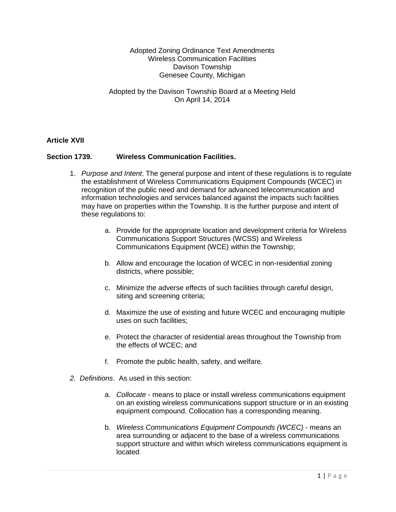## Adopted Zoning Ordinance Text Amendments Wireless Communication Facilities Davison Township Genesee County, Michigan

Adopted by the Davison Township Board at a Meeting Held On April 14, 2014

## **Article XVII**

## **Section 1739. Wireless Communication Facilities.**

- 1. *Purpose and Intent*. The general purpose and intent of these regulations is to regulate the establishment of Wireless Communications Equipment Compounds (WCEC) in recognition of the public need and demand for advanced telecommunication and information technologies and services balanced against the impacts such facilities may have on properties within the Township. It is the further purpose and intent of these regulations to:
	- a. Provide for the appropriate location and development criteria for Wireless Communications Support Structures (WCSS) and Wireless Communications Equipment (WCE) within the Township;
	- b. Allow and encourage the location of WCEC in non-residential zoning districts, where possible;
	- c. Minimize the adverse effects of such facilities through careful design, siting and screening criteria;
	- d. Maximize the use of existing and future WCEC and encouraging multiple uses on such facilities;
	- e. Protect the character of residential areas throughout the Township from the effects of WCEC; and
	- f. Promote the public health, safety, and welfare.
- *2. Definitions*. As used in this section:
	- a. *Collocate* means to place or install wireless communications equipment on an existing wireless communications support structure or in an existing equipment compound. Collocation has a corresponding meaning.
	- b. *Wireless Communications Equipment Compounds (WCEC)* means an area surrounding or adjacent to the base of a wireless communications support structure and within which wireless communications equipment is located.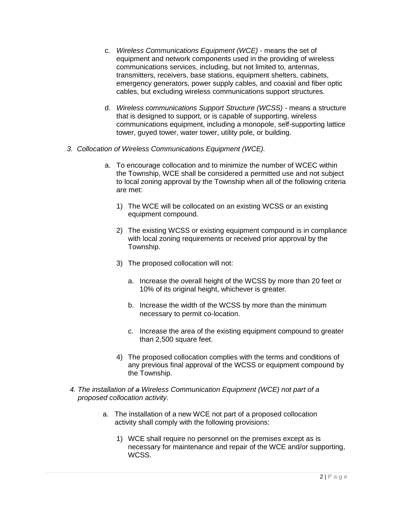- c. *Wireless Communications Equipment (WCE)* means the set of equipment and network components used in the providing of wireless communications services, including, but not limited to, antennas, transmitters, receivers, base stations, equipment shelters, cabinets, emergency generators, power supply cables, and coaxial and fiber optic cables, but excluding wireless communications support structures.
- d. *Wireless communications Support Structure (WCSS)* means a structure that is designed to support, or is capable of supporting, wireless communications equipment, including a monopole, self-supporting lattice tower, guyed tower, water tower, utility pole, or building.
- *3. Collocation of Wireless Communications Equipment (WCE).*
	- a. To encourage collocation and to minimize the number of WCEC within the Township, WCE shall be considered a permitted use and not subject to local zoning approval by the Township when all of the following criteria are met:
		- 1) The WCE will be collocated on an existing WCSS or an existing equipment compound.
		- 2) The existing WCSS or existing equipment compound is in compliance with local zoning requirements or received prior approval by the Township.
		- 3) The proposed collocation will not:
			- a. Increase the overall height of the WCSS by more than 20 feet or 10% of its original height, whichever is greater.
			- b. Increase the width of the WCSS by more than the minimum necessary to permit co-location.
			- c. Increase the area of the existing equipment compound to greater than 2,500 square feet.
		- 4) The proposed collocation complies with the terms and conditions of any previous final approval of the WCSS or equipment compound by the Township.
- *4. The installation of a Wireless Communication Equipment (WCE) not part of a proposed collocation activity.*
	- a. The installation of a new WCE not part of a proposed collocation activity shall comply with the following provisions:
		- 1) WCE shall require no personnel on the premises except as is necessary for maintenance and repair of the WCE and/or supporting, WCSS.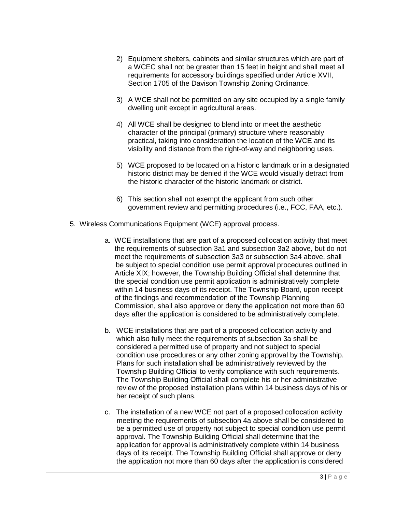- 2) Equipment shelters, cabinets and similar structures which are part of a WCEC shall not be greater than 15 feet in height and shall meet all requirements for accessory buildings specified under Article XVII, Section 1705 of the Davison Township Zoning Ordinance.
- 3) A WCE shall not be permitted on any site occupied by a single family dwelling unit except in agricultural areas.
- 4) All WCE shall be designed to blend into or meet the aesthetic character of the principal (primary) structure where reasonably practical, taking into consideration the location of the WCE and its visibility and distance from the right-of-way and neighboring uses.
- 5) WCE proposed to be located on a historic landmark or in a designated historic district may be denied if the WCE would visually detract from the historic character of the historic landmark or district.
- 6) This section shall not exempt the applicant from such other government review and permitting procedures (i.e., FCC, FAA, etc.).
- 5. Wireless Communications Equipment (WCE) approval process.
	- a. WCE installations that are part of a proposed collocation activity that meet the requirements of subsection 3a1 and subsection 3a2 above, but do not meet the requirements of subsection 3a3 or subsection 3a4 above, shall be subject to special condition use permit approval procedures outlined in Article XIX; however, the Township Building Official shall determine that the special condition use permit application is administratively complete within 14 business days of its receipt. The Township Board, upon receipt of the findings and recommendation of the Township Planning Commission, shall also approve or deny the application not more than 60 days after the application is considered to be administratively complete.
	- b. WCE installations that are part of a proposed collocation activity and which also fully meet the requirements of subsection 3a shall be considered a permitted use of property and not subject to special condition use procedures or any other zoning approval by the Township. Plans for such installation shall be administratively reviewed by the Township Building Official to verify compliance with such requirements. The Township Building Official shall complete his or her administrative review of the proposed installation plans within 14 business days of his or her receipt of such plans.
	- c. The installation of a new WCE not part of a proposed collocation activity meeting the requirements of subsection 4a above shall be considered to be a permitted use of property not subject to special condition use permit approval. The Township Building Official shall determine that the application for approval is administratively complete within 14 business days of its receipt. The Township Building Official shall approve or deny the application not more than 60 days after the application is considered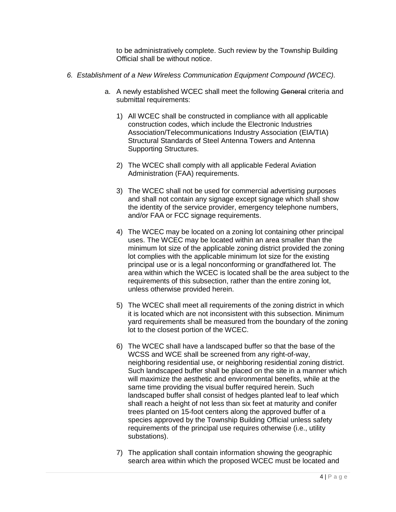to be administratively complete. Such review by the Township Building Official shall be without notice.

- *6. Establishment of a New Wireless Communication Equipment Compound (WCEC).*
	- a. A newly established WCEC shall meet the following General criteria and submittal requirements:
		- 1) All WCEC shall be constructed in compliance with all applicable construction codes, which include the Electronic Industries Association/Telecommunications Industry Association (EIA/TIA) Structural Standards of Steel Antenna Towers and Antenna Supporting Structures.
		- 2) The WCEC shall comply with all applicable Federal Aviation Administration (FAA) requirements.
		- 3) The WCEC shall not be used for commercial advertising purposes and shall not contain any signage except signage which shall show the identity of the service provider, emergency telephone numbers, and/or FAA or FCC signage requirements.
		- 4) The WCEC may be located on a zoning lot containing other principal uses. The WCEC may be located within an area smaller than the minimum lot size of the applicable zoning district provided the zoning lot complies with the applicable minimum lot size for the existing principal use or is a legal nonconforming or grandfathered lot. The area within which the WCEC is located shall be the area subject to the requirements of this subsection, rather than the entire zoning lot, unless otherwise provided herein.
		- 5) The WCEC shall meet all requirements of the zoning district in which it is located which are not inconsistent with this subsection. Minimum yard requirements shall be measured from the boundary of the zoning lot to the closest portion of the WCEC.
		- 6) The WCEC shall have a landscaped buffer so that the base of the WCSS and WCE shall be screened from any right-of-way, neighboring residential use, or neighboring residential zoning district. Such landscaped buffer shall be placed on the site in a manner which will maximize the aesthetic and environmental benefits, while at the same time providing the visual buffer required herein. Such landscaped buffer shall consist of hedges planted leaf to leaf which shall reach a height of not less than six feet at maturity and conifer trees planted on 15-foot centers along the approved buffer of a species approved by the Township Building Official unless safety requirements of the principal use requires otherwise (i.e., utility substations).
		- 7) The application shall contain information showing the geographic search area within which the proposed WCEC must be located and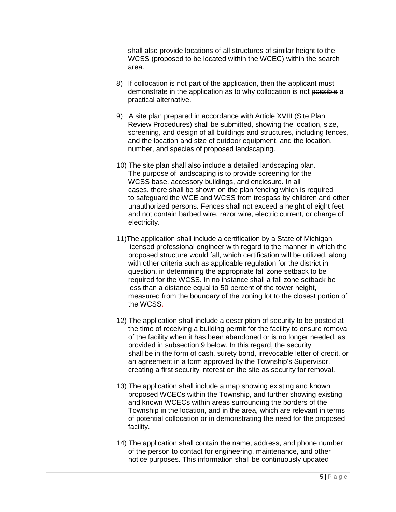shall also provide locations of all structures of similar height to the WCSS (proposed to be located within the WCEC) within the search area.

- 8) If collocation is not part of the application, then the applicant must demonstrate in the application as to why collocation is not possible a practical alternative.
- 9) A site plan prepared in accordance with Article XVIII (Site Plan Review Procedures) shall be submitted, showing the location, size, screening, and design of all buildings and structures, including fences, and the location and size of outdoor equipment, and the location, number, and species of proposed landscaping.
- 10) The site plan shall also include a detailed landscaping plan. The purpose of landscaping is to provide screening for the WCSS base, accessory buildings, and enclosure. In all cases, there shall be shown on the plan fencing which is required to safeguard the WCE and WCSS from trespass by children and other unauthorized persons. Fences shall not exceed a height of eight feet and not contain barbed wire, razor wire, electric current, or charge of electricity.
- 11)The application shall include a certification by a State of Michigan licensed professional engineer with regard to the manner in which the proposed structure would fall, which certification will be utilized, along with other criteria such as applicable regulation for the district in question, in determining the appropriate fall zone setback to be required for the WCSS. In no instance shall a fall zone setback be less than a distance equal to 50 percent of the tower height, measured from the boundary of the zoning lot to the closest portion of the WCSS.
- 12) The application shall include a description of security to be posted at the time of receiving a building permit for the facility to ensure removal of the facility when it has been abandoned or is no longer needed, as provided in subsection 9 below. In this regard, the security shall be in the form of cash, surety bond, irrevocable letter of credit, or an agreement in a form approved by the Township's Supervisor, creating a first security interest on the site as security for removal.
- 13) The application shall include a map showing existing and known proposed WCECs within the Township, and further showing existing and known WCECs within areas surrounding the borders of the Township in the location, and in the area, which are relevant in terms of potential collocation or in demonstrating the need for the proposed facility.
- 14) The application shall contain the name, address, and phone number of the person to contact for engineering, maintenance, and other notice purposes. This information shall be continuously updated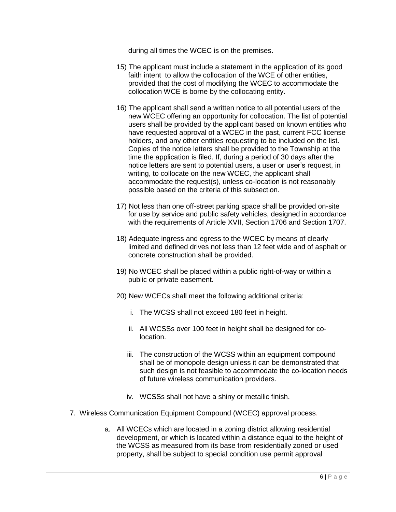during all times the WCEC is on the premises.

- 15) The applicant must include a statement in the application of its good faith intent to allow the collocation of the WCE of other entities, provided that the cost of modifying the WCEC to accommodate the collocation WCE is borne by the collocating entity.
- 16) The applicant shall send a written notice to all potential users of the new WCEC offering an opportunity for collocation. The list of potential users shall be provided by the applicant based on known entities who have requested approval of a WCEC in the past, current FCC license holders, and any other entities requesting to be included on the list. Copies of the notice letters shall be provided to the Township at the time the application is filed. If, during a period of 30 days after the notice letters are sent to potential users, a user or user's request, in writing, to collocate on the new WCEC, the applicant shall accommodate the request(s), unless co-location is not reasonably possible based on the criteria of this subsection.
- 17) Not less than one off-street parking space shall be provided on-site for use by service and public safety vehicles, designed in accordance with the requirements of Article XVII, Section 1706 and Section 1707.
- 18) Adequate ingress and egress to the WCEC by means of clearly limited and defined drives not less than 12 feet wide and of asphalt or concrete construction shall be provided.
- 19) No WCEC shall be placed within a public right-of-way or within a public or private easement.
- 20) New WCECs shall meet the following additional criteria:
	- i. The WCSS shall not exceed 180 feet in height.
	- ii. All WCSSs over 100 feet in height shall be designed for colocation.
	- iii. The construction of the WCSS within an equipment compound shall be of monopole design unless it can be demonstrated that such design is not feasible to accommodate the co-location needs of future wireless communication providers.
	- iv. WCSSs shall not have a shiny or metallic finish.
- 7. Wireless Communication Equipment Compound (WCEC) approval process.
	- a. All WCECs which are located in a zoning district allowing residential development, or which is located within a distance equal to the height of the WCSS as measured from its base from residentially zoned or used property, shall be subject to special condition use permit approval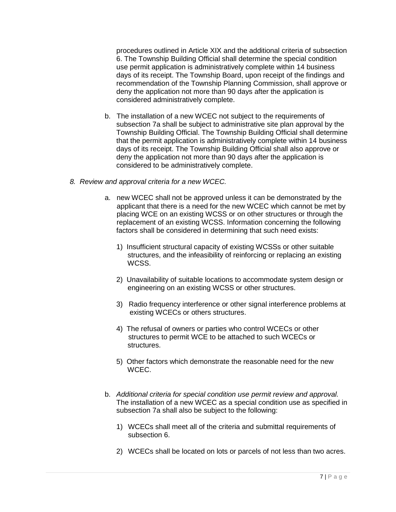procedures outlined in Article XIX and the additional criteria of subsection 6. The Township Building Official shall determine the special condition use permit application is administratively complete within 14 business days of its receipt. The Township Board, upon receipt of the findings and recommendation of the Township Planning Commission, shall approve or deny the application not more than 90 days after the application is considered administratively complete.

- b. The installation of a new WCEC not subject to the requirements of subsection 7a shall be subject to administrative site plan approval by the Township Building Official. The Township Building Official shall determine that the permit application is administratively complete within 14 business days of its receipt. The Township Building Official shall also approve or deny the application not more than 90 days after the application is considered to be administratively complete.
- *8. Review and approval criteria for a new WCEC.*
	- a. new WCEC shall not be approved unless it can be demonstrated by the applicant that there is a need for the new WCEC which cannot be met by placing WCE on an existing WCSS or on other structures or through the replacement of an existing WCSS. Information concerning the following factors shall be considered in determining that such need exists:
		- 1) Insufficient structural capacity of existing WCSSs or other suitable structures, and the infeasibility of reinforcing or replacing an existing WCSS.
		- 2) Unavailability of suitable locations to accommodate system design or engineering on an existing WCSS or other structures.
		- 3) Radio frequency interference or other signal interference problems at existing WCECs or others structures.
		- 4) The refusal of owners or parties who control WCECs or other structures to permit WCE to be attached to such WCECs or structures.
		- 5) Other factors which demonstrate the reasonable need for the new WCEC.
	- b. *Additional criteria for special condition use permit review and approval.*  The installation of a new WCEC as a special condition use as specified in subsection 7a shall also be subject to the following:
		- 1) WCECs shall meet all of the criteria and submittal requirements of subsection 6.
		- 2) WCECs shall be located on lots or parcels of not less than two acres.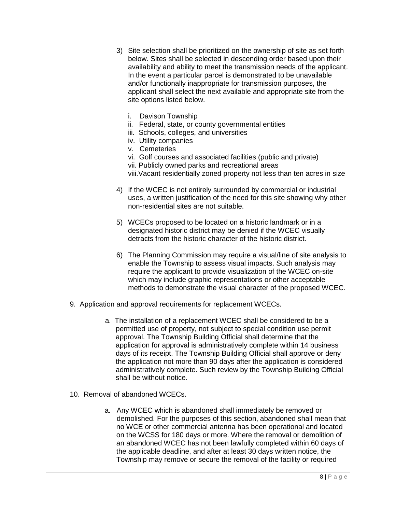- 3) Site selection shall be prioritized on the ownership of site as set forth below. Sites shall be selected in descending order based upon their availability and ability to meet the transmission needs of the applicant. In the event a particular parcel is demonstrated to be unavailable and/or functionally inappropriate for transmission purposes, the applicant shall select the next available and appropriate site from the site options listed below.
	- i. Davison Township
	- ii. Federal, state, or county governmental entities
	- iii. Schools, colleges, and universities
	- iv. Utility companies
	- v. Cemeteries
	- vi. Golf courses and associated facilities (public and private)
	- vii. Publicly owned parks and recreational areas
	- viii.Vacant residentially zoned property not less than ten acres in size
- 4) If the WCEC is not entirely surrounded by commercial or industrial uses, a written justification of the need for this site showing why other non-residential sites are not suitable.
- 5) WCECs proposed to be located on a historic landmark or in a designated historic district may be denied if the WCEC visually detracts from the historic character of the historic district.
- 6) The Planning Commission may require a visual/line of site analysis to enable the Township to assess visual impacts. Such analysis may require the applicant to provide visualization of the WCEC on-site which may include graphic representations or other acceptable methods to demonstrate the visual character of the proposed WCEC.
- 9. Application and approval requirements for replacement WCECs.
	- a. The installation of a replacement WCEC shall be considered to be a permitted use of property, not subject to special condition use permit approval. The Township Building Official shall determine that the application for approval is administratively complete within 14 business days of its receipt. The Township Building Official shall approve or deny the application not more than 90 days after the application is considered administratively complete. Such review by the Township Building Official shall be without notice.
- 10. Removal of abandoned WCECs.
	- a. Any WCEC which is abandoned shall immediately be removed or demolished. For the purposes of this section, abandoned shall mean that no WCE or other commercial antenna has been operational and located on the WCSS for 180 days or more. Where the removal or demolition of an abandoned WCEC has not been lawfully completed within 60 days of the applicable deadline, and after at least 30 days written notice, the Township may remove or secure the removal of the facility or required